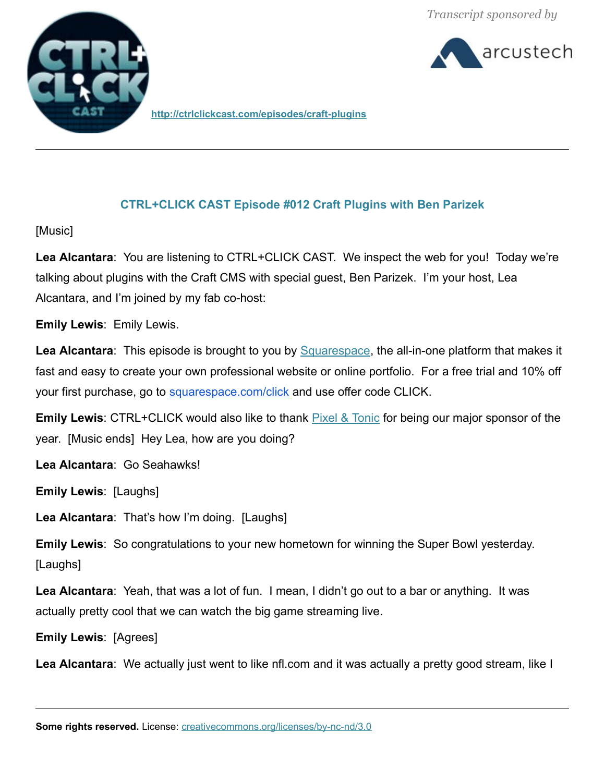arcustech



**http://ctrlclickcast.com/episodes/craft-plugins**

# **CTRL+CLICK CAST Episode #012 Craft Plugins with Ben Parizek**

[Music]

**Lea Alcantara**: You are listening to CTRL+CLICK CAST. We inspect the web for you! Today we're talking about plugins with the Craft CMS with special guest, Ben Parizek. I'm your host, Lea Alcantara, and I'm joined by my fab co-host:

**Emily Lewis**: Emily Lewis.

Lea Alcantara: This episode is brought to you by **Squarespace**, the all-in-one platform that makes it fast and easy to create your own professional website or online portfolio. For a free trial and 10% off your first purchase, go to [squarespace.com/click](http://squarespace.com/click) and use offer code CLICK.

**Emily Lewis**: CTRL+CLICK would also like to thank [Pixel & Tonic](http://pixelandtonic.com/) for being our major sponsor of the year. [Music ends] Hey Lea, how are you doing?

**Lea Alcantara**: Go Seahawks!

**Emily Lewis**: [Laughs]

**Lea Alcantara**: That's how I'm doing. [Laughs]

**Emily Lewis**: So congratulations to your new hometown for winning the Super Bowl yesterday. [Laughs]

**Lea Alcantara**: Yeah, that was a lot of fun. I mean, I didn't go out to a bar or anything. It was actually pretty cool that we can watch the big game streaming live.

**Emily Lewis**: [Agrees]

**Lea Alcantara**: We actually just went to like nfl.com and it was actually a pretty good stream, like I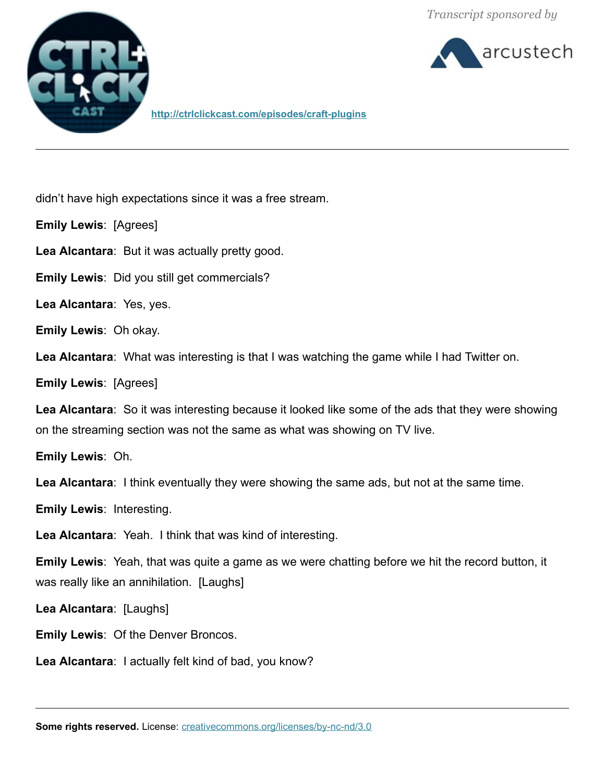

arcustech

**<http://ctrlclickcast.com/episodes/craft-plugins>**

didn't have high expectations since it was a free stream.

**Emily Lewis**: [Agrees]

**Lea Alcantara**: But it was actually pretty good.

**Emily Lewis**: Did you still get commercials?

**Lea Alcantara**: Yes, yes.

**Emily Lewis**: Oh okay.

**Lea Alcantara**: What was interesting is that I was watching the game while I had Twitter on.

**Emily Lewis**: [Agrees]

**Lea Alcantara**: So it was interesting because it looked like some of the ads that they were showing on the streaming section was not the same as what was showing on TV live.

**Emily Lewis**: Oh.

**Lea Alcantara**: I think eventually they were showing the same ads, but not at the same time.

**Emily Lewis**: Interesting.

**Lea Alcantara**: Yeah. I think that was kind of interesting.

**Emily Lewis**: Yeah, that was quite a game as we were chatting before we hit the record button, it was really like an annihilation. [Laughs]

**Lea Alcantara**: [Laughs]

**Emily Lewis**: Of the Denver Broncos.

**Lea Alcantara**: I actually felt kind of bad, you know?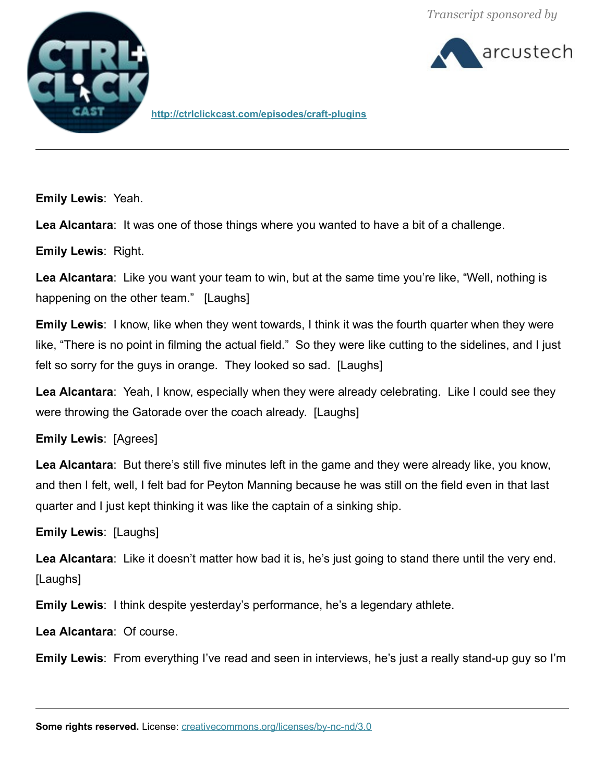



**http://ctrlclickcast.com/episodes/craft-plugins**

**Emily Lewis**: Yeah.

**Lea Alcantara**: It was one of those things where you wanted to have a bit of a challenge.

**Emily Lewis**: Right.

**Lea Alcantara**: Like you want your team to win, but at the same time you're like, "Well, nothing is happening on the other team." [Laughs]

**Emily Lewis**: I know, like when they went towards, I think it was the fourth quarter when they were like, "There is no point in filming the actual field." So they were like cutting to the sidelines, and I just felt so sorry for the guys in orange. They looked so sad. [Laughs]

**Lea Alcantara**: Yeah, I know, especially when they were already celebrating. Like I could see they were throwing the Gatorade over the coach already. [Laughs]

**Emily Lewis**: [Agrees]

**Lea Alcantara**: But there's still five minutes left in the game and they were already like, you know, and then I felt, well, I felt bad for Peyton Manning because he was still on the field even in that last quarter and I just kept thinking it was like the captain of a sinking ship.

**Emily Lewis**: [Laughs]

**Lea Alcantara**: Like it doesn't matter how bad it is, he's just going to stand there until the very end. [Laughs]

**Emily Lewis**: I think despite yesterday's performance, he's a legendary athlete.

**Lea Alcantara**: Of course.

**Emily Lewis**: From everything I've read and seen in interviews, he's just a really stand-up guy so I'm

**Some rights reserved.** License: *creativecommons.org/licenses/by-nc-nd/3.0*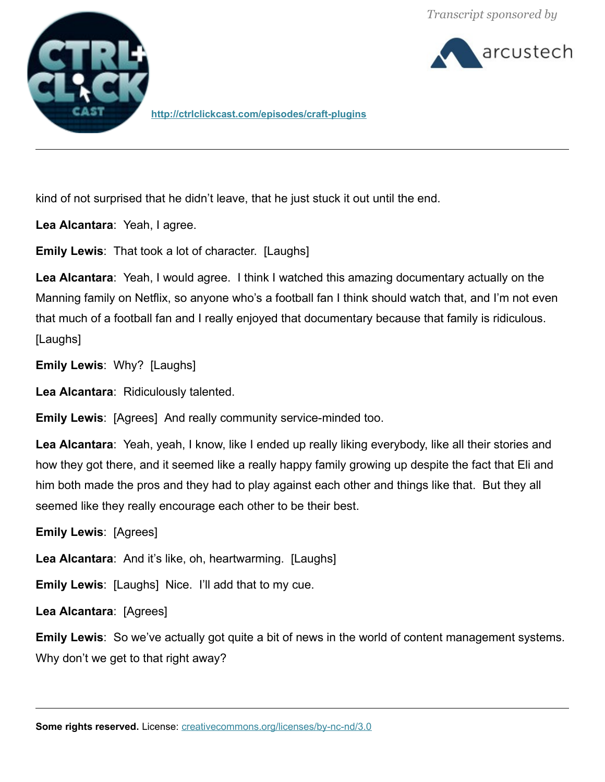arcustech



**<http://ctrlclickcast.com/episodes/craft-plugins>**

kind of not surprised that he didn't leave, that he just stuck it out until the end.

**Lea Alcantara**: Yeah, I agree.

**Emily Lewis**: That took a lot of character. [Laughs]

**Lea Alcantara**: Yeah, I would agree. I think I watched this amazing documentary actually on the Manning family on Netflix, so anyone who's a football fan I think should watch that, and I'm not even that much of a football fan and I really enjoyed that documentary because that family is ridiculous. [Laughs]

**Emily Lewis**: Why? [Laughs]

**Lea Alcantara**: Ridiculously talented.

**Emily Lewis**: [Agrees] And really community service-minded too.

**Lea Alcantara**: Yeah, yeah, I know, like I ended up really liking everybody, like all their stories and how they got there, and it seemed like a really happy family growing up despite the fact that Eli and him both made the pros and they had to play against each other and things like that. But they all seemed like they really encourage each other to be their best.

**Emily Lewis**: [Agrees]

**Lea Alcantara**: And it's like, oh, heartwarming. [Laughs]

**Emily Lewis**: [Laughs] Nice. I'll add that to my cue.

**Lea Alcantara**: [Agrees]

**Emily Lewis**: So we've actually got quite a bit of news in the world of content management systems. Why don't we get to that right away?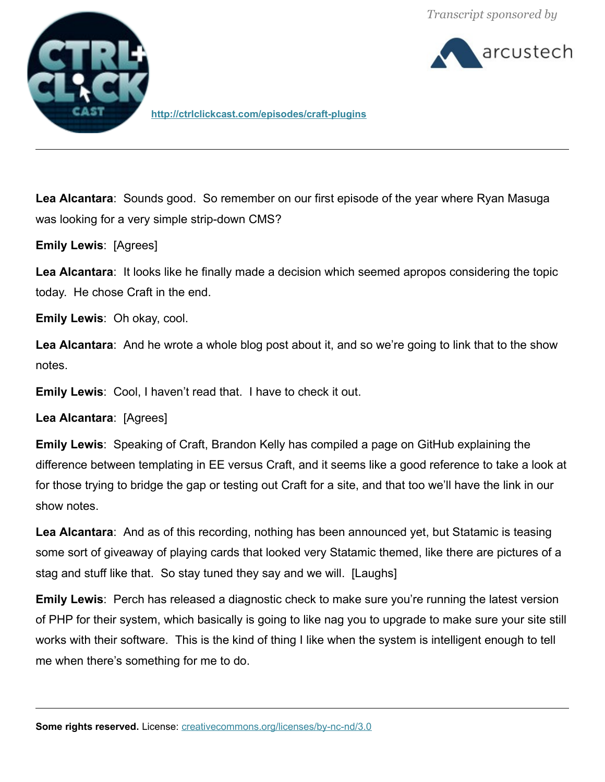

arcustech

**http://ctrlclickcast.com/episodes/craft-plugins**

**Lea Alcantara**: Sounds good. So remember on our first episode of the year where Ryan Masuga was looking for a very simple strip-down CMS?

**Emily Lewis**: [Agrees]

**Lea Alcantara**: It looks like he finally made a decision which seemed apropos considering the topic today. He chose Craft in the end.

**Emily Lewis**: Oh okay, cool.

**Lea Alcantara**: And he wrote a whole blog post about it, and so we're going to link that to the show notes.

**Emily Lewis**: Cool, I haven't read that. I have to check it out.

**Lea Alcantara**: [Agrees]

**Emily Lewis**: Speaking of Craft, Brandon Kelly has compiled a page on GitHub explaining the difference between templating in EE versus Craft, and it seems like a good reference to take a look at for those trying to bridge the gap or testing out Craft for a site, and that too we'll have the link in our show notes.

**Lea Alcantara**: And as of this recording, nothing has been announced yet, but Statamic is teasing some sort of giveaway of playing cards that looked very Statamic themed, like there are pictures of a stag and stuff like that. So stay tuned they say and we will. [Laughs]

**Emily Lewis**: Perch has released a diagnostic check to make sure you're running the latest version of PHP for their system, which basically is going to like nag you to upgrade to make sure your site still works with their software. This is the kind of thing I like when the system is intelligent enough to tell me when there's something for me to do.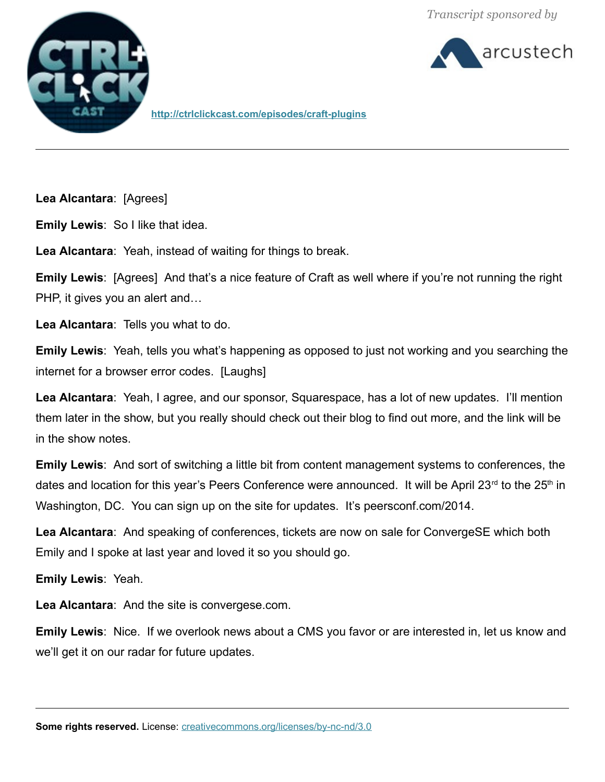



**<http://ctrlclickcast.com/episodes/craft-plugins>**

**Lea Alcantara**: [Agrees]

**Emily Lewis**: So I like that idea.

**Lea Alcantara**: Yeah, instead of waiting for things to break.

**Emily Lewis**: [Agrees] And that's a nice feature of Craft as well where if you're not running the right PHP, it gives you an alert and…

**Lea Alcantara**: Tells you what to do.

**Emily Lewis**: Yeah, tells you what's happening as opposed to just not working and you searching the internet for a browser error codes. [Laughs]

**Lea Alcantara**: Yeah, I agree, and our sponsor, Squarespace, has a lot of new updates. I'll mention them later in the show, but you really should check out their blog to find out more, and the link will be in the show notes.

**Emily Lewis**: And sort of switching a little bit from content management systems to conferences, the dates and location for this year's Peers Conference were announced. It will be April 23<sup>rd</sup> to the 25<sup>th</sup> in Washington, DC. You can sign up on the site for updates. It's peersconf.com/2014.

**Lea Alcantara**: And speaking of conferences, tickets are now on sale for ConvergeSE which both Emily and I spoke at last year and loved it so you should go.

**Emily Lewis**: Yeah.

**Lea Alcantara**: And the site is convergese.com.

**Emily Lewis**: Nice. If we overlook news about a CMS you favor or are interested in, let us know and we'll get it on our radar for future updates.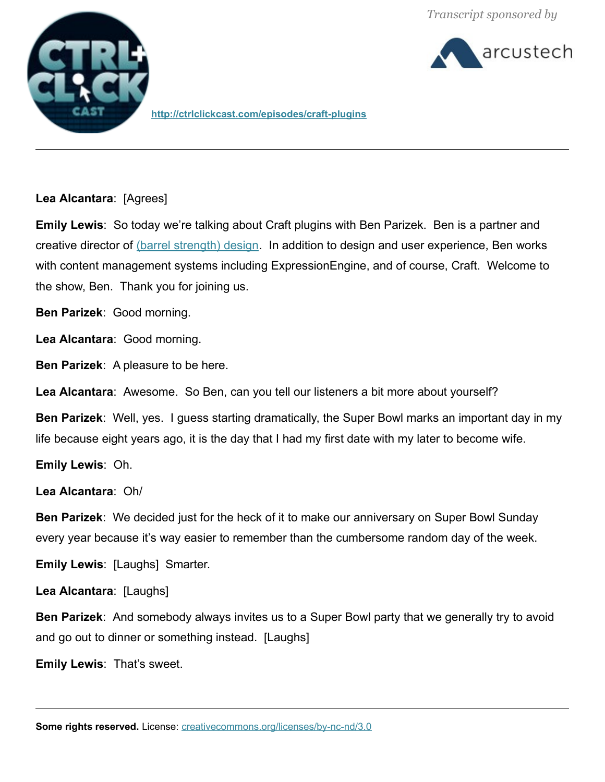



**http://ctrlclickcast.com/episodes/craft-plugins**

**Lea Alcantara**: [Agrees]

**Emily Lewis**: So today we're talking about Craft plugins with Ben Parizek. Ben is a partner and creative director of [\(barrel strength\) design.](file:///Users/lealea/Desktop/barrelstrengthdesign.com) In addition to design and user experience, Ben works with content management systems including ExpressionEngine, and of course, Craft. Welcome to the show, Ben. Thank you for joining us.

**Ben Parizek**: Good morning.

**Lea Alcantara**: Good morning.

**Ben Parizek**: A pleasure to be here.

**Lea Alcantara**: Awesome. So Ben, can you tell our listeners a bit more about yourself?

**Ben Parizek**: Well, yes. I guess starting dramatically, the Super Bowl marks an important day in my life because eight years ago, it is the day that I had my first date with my later to become wife.

**Emily Lewis**: Oh.

**Lea Alcantara**: Oh/

**Ben Parizek**: We decided just for the heck of it to make our anniversary on Super Bowl Sunday every year because it's way easier to remember than the cumbersome random day of the week.

**Emily Lewis**: [Laughs] Smarter.

**Lea Alcantara**: [Laughs]

**Ben Parizek**: And somebody always invites us to a Super Bowl party that we generally try to avoid and go out to dinner or something instead. [Laughs]

**Emily Lewis**: That's sweet.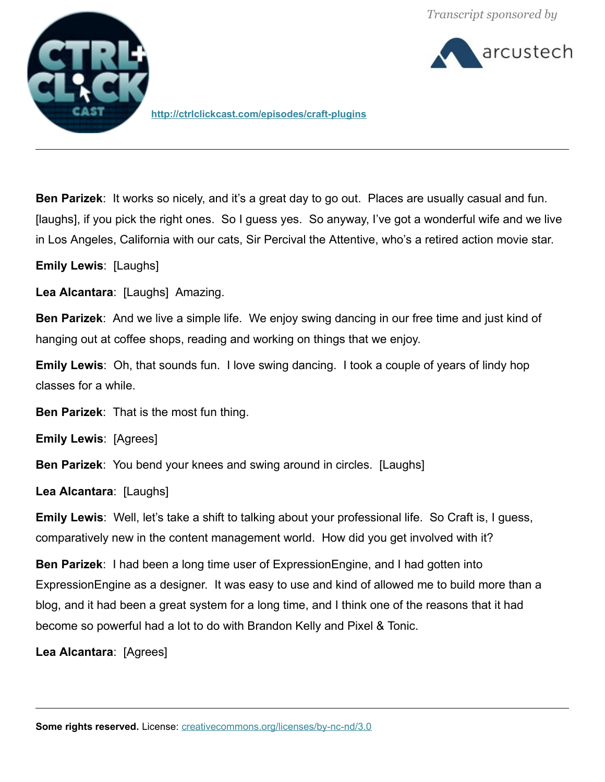

arcustech

**<http://ctrlclickcast.com/episodes/craft-plugins>**

**Ben Parizek**: It works so nicely, and it's a great day to go out. Places are usually casual and fun. [laughs], if you pick the right ones. So I guess yes. So anyway, I've got a wonderful wife and we live in Los Angeles, California with our cats, Sir Percival the Attentive, who's a retired action movie star.

**Emily Lewis**: [Laughs]

**Lea Alcantara**: [Laughs] Amazing.

**Ben Parizek**: And we live a simple life. We enjoy swing dancing in our free time and just kind of hanging out at coffee shops, reading and working on things that we enjoy.

**Emily Lewis**: Oh, that sounds fun. I love swing dancing. I took a couple of years of lindy hop classes for a while.

**Ben Parizek**: That is the most fun thing.

**Emily Lewis**: [Agrees]

**Ben Parizek**: You bend your knees and swing around in circles. [Laughs]

**Lea Alcantara**: [Laughs]

**Emily Lewis**: Well, let's take a shift to talking about your professional life. So Craft is, I guess, comparatively new in the content management world. How did you get involved with it?

**Ben Parizek**: I had been a long time user of ExpressionEngine, and I had gotten into ExpressionEngine as a designer. It was easy to use and kind of allowed me to build more than a blog, and it had been a great system for a long time, and I think one of the reasons that it had become so powerful had a lot to do with Brandon Kelly and Pixel & Tonic.

**Lea Alcantara**: [Agrees]

**Some rights reserved.** License: *creativecommons.org/licenses/by-nc-nd/3.0*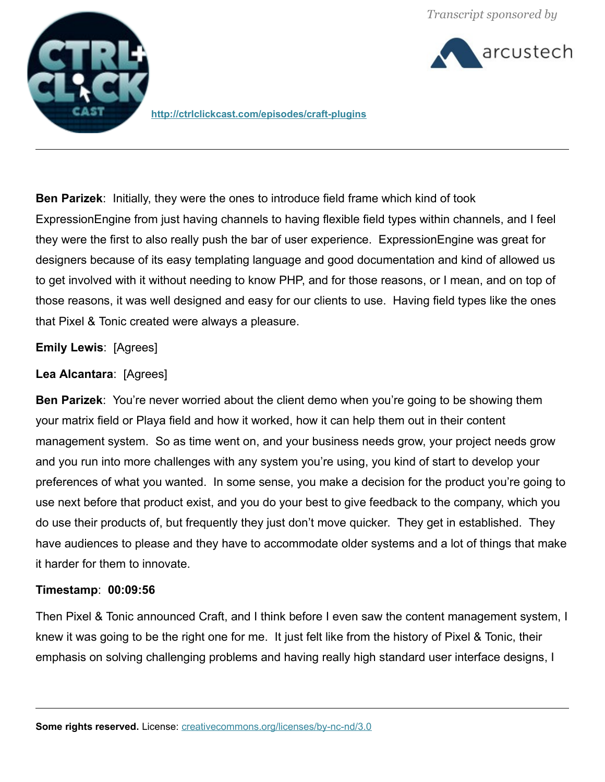arcustech



**http://ctrlclickcast.com/episodes/craft-plugins**

**Ben Parizek**: Initially, they were the ones to introduce field frame which kind of took ExpressionEngine from just having channels to having flexible field types within channels, and I feel they were the first to also really push the bar of user experience. ExpressionEngine was great for designers because of its easy templating language and good documentation and kind of allowed us to get involved with it without needing to know PHP, and for those reasons, or I mean, and on top of those reasons, it was well designed and easy for our clients to use. Having field types like the ones that Pixel & Tonic created were always a pleasure.

### **Emily Lewis**: [Agrees]

### **Lea Alcantara**: [Agrees]

**Ben Parizek**: You're never worried about the client demo when you're going to be showing them your matrix field or Playa field and how it worked, how it can help them out in their content management system. So as time went on, and your business needs grow, your project needs grow and you run into more challenges with any system you're using, you kind of start to develop your preferences of what you wanted. In some sense, you make a decision for the product you're going to use next before that product exist, and you do your best to give feedback to the company, which you do use their products of, but frequently they just don't move quicker. They get in established. They have audiences to please and they have to accommodate older systems and a lot of things that make it harder for them to innovate.

#### **Timestamp**: **00:09:56**

Then Pixel & Tonic announced Craft, and I think before I even saw the content management system, I knew it was going to be the right one for me. It just felt like from the history of Pixel & Tonic, their emphasis on solving challenging problems and having really high standard user interface designs, I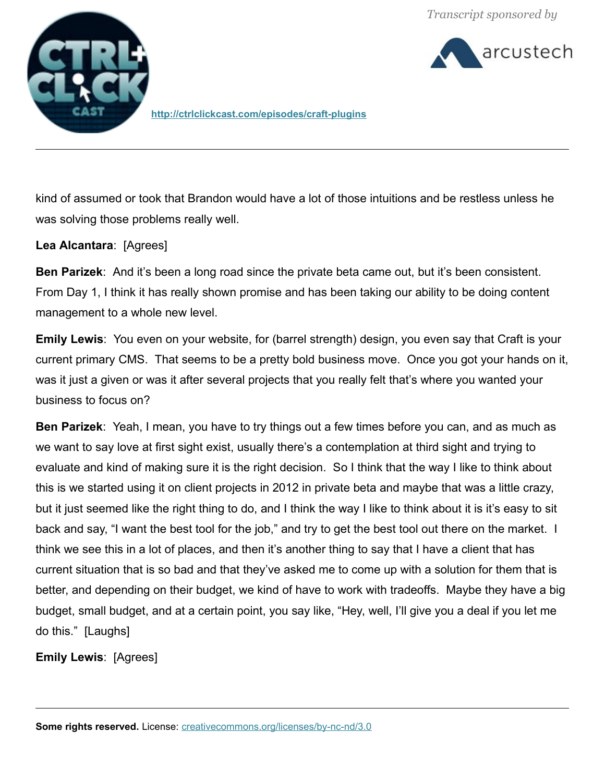arcustech



**<http://ctrlclickcast.com/episodes/craft-plugins>**

kind of assumed or took that Brandon would have a lot of those intuitions and be restless unless he was solving those problems really well.

### **Lea Alcantara**: [Agrees]

**Ben Parizek**: And it's been a long road since the private beta came out, but it's been consistent. From Day 1, I think it has really shown promise and has been taking our ability to be doing content management to a whole new level.

**Emily Lewis**: You even on your website, for (barrel strength) design, you even say that Craft is your current primary CMS. That seems to be a pretty bold business move. Once you got your hands on it, was it just a given or was it after several projects that you really felt that's where you wanted your business to focus on?

**Ben Parizek**: Yeah, I mean, you have to try things out a few times before you can, and as much as we want to say love at first sight exist, usually there's a contemplation at third sight and trying to evaluate and kind of making sure it is the right decision. So I think that the way I like to think about this is we started using it on client projects in 2012 in private beta and maybe that was a little crazy, but it just seemed like the right thing to do, and I think the way I like to think about it is it's easy to sit back and say, "I want the best tool for the job," and try to get the best tool out there on the market. I think we see this in a lot of places, and then it's another thing to say that I have a client that has current situation that is so bad and that they've asked me to come up with a solution for them that is better, and depending on their budget, we kind of have to work with tradeoffs. Maybe they have a big budget, small budget, and at a certain point, you say like, "Hey, well, I'll give you a deal if you let me do this." [Laughs]

**Emily Lewis**: [Agrees]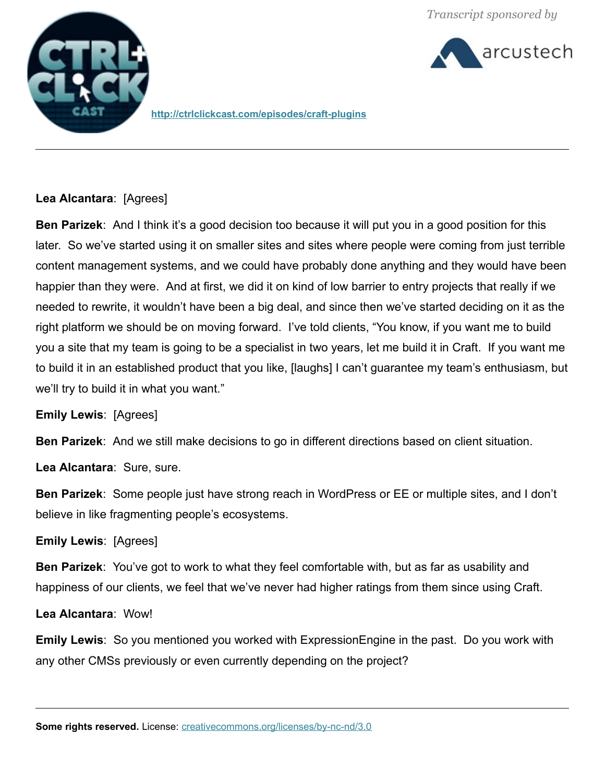arcustech



**http://ctrlclickcast.com/episodes/craft-plugins**

# **Lea Alcantara**: [Agrees]

**Ben Parizek**: And I think it's a good decision too because it will put you in a good position for this later. So we've started using it on smaller sites and sites where people were coming from just terrible content management systems, and we could have probably done anything and they would have been happier than they were. And at first, we did it on kind of low barrier to entry projects that really if we needed to rewrite, it wouldn't have been a big deal, and since then we've started deciding on it as the right platform we should be on moving forward. I've told clients, "You know, if you want me to build you a site that my team is going to be a specialist in two years, let me build it in Craft. If you want me to build it in an established product that you like, [laughs] I can't guarantee my team's enthusiasm, but we'll try to build it in what you want."

**Emily Lewis**: [Agrees]

**Ben Parizek**: And we still make decisions to go in different directions based on client situation.

**Lea Alcantara**: Sure, sure.

**Ben Parizek**: Some people just have strong reach in WordPress or EE or multiple sites, and I don't believe in like fragmenting people's ecosystems.

**Emily Lewis**: [Agrees]

**Ben Parizek**: You've got to work to what they feel comfortable with, but as far as usability and happiness of our clients, we feel that we've never had higher ratings from them since using Craft.

**Lea Alcantara**: Wow!

**Emily Lewis**: So you mentioned you worked with ExpressionEngine in the past. Do you work with any other CMSs previously or even currently depending on the project?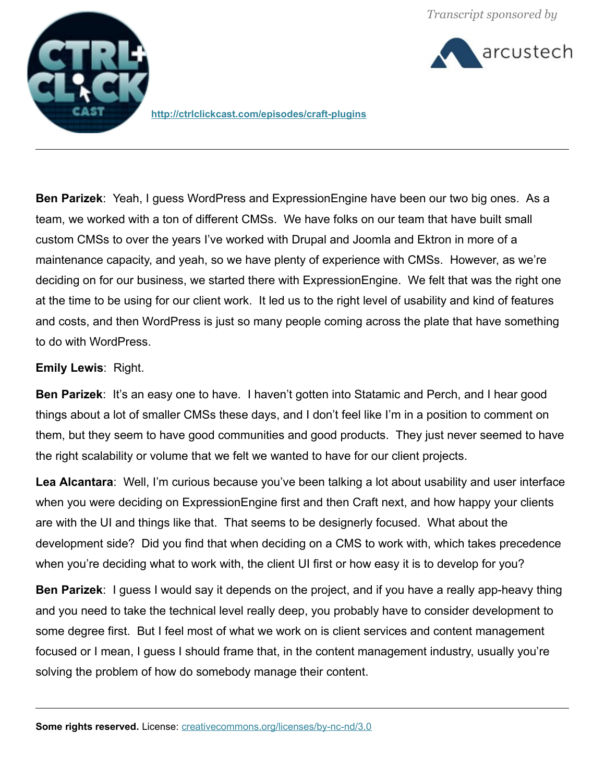arcustech



**<http://ctrlclickcast.com/episodes/craft-plugins>**

**Ben Parizek**: Yeah, I guess WordPress and ExpressionEngine have been our two big ones. As a team, we worked with a ton of different CMSs. We have folks on our team that have built small custom CMSs to over the years I've worked with Drupal and Joomla and Ektron in more of a maintenance capacity, and yeah, so we have plenty of experience with CMSs. However, as we're deciding on for our business, we started there with ExpressionEngine. We felt that was the right one at the time to be using for our client work. It led us to the right level of usability and kind of features and costs, and then WordPress is just so many people coming across the plate that have something to do with WordPress.

# **Emily Lewis**: Right.

**Ben Parizek:** It's an easy one to have. I haven't gotten into Statamic and Perch, and I hear good things about a lot of smaller CMSs these days, and I don't feel like I'm in a position to comment on them, but they seem to have good communities and good products. They just never seemed to have the right scalability or volume that we felt we wanted to have for our client projects.

**Lea Alcantara**: Well, I'm curious because you've been talking a lot about usability and user interface when you were deciding on ExpressionEngine first and then Craft next, and how happy your clients are with the UI and things like that. That seems to be designerly focused. What about the development side? Did you find that when deciding on a CMS to work with, which takes precedence when you're deciding what to work with, the client UI first or how easy it is to develop for you?

**Ben Parizek**: I guess I would say it depends on the project, and if you have a really app-heavy thing and you need to take the technical level really deep, you probably have to consider development to some degree first. But I feel most of what we work on is client services and content management focused or I mean, I guess I should frame that, in the content management industry, usually you're solving the problem of how do somebody manage their content.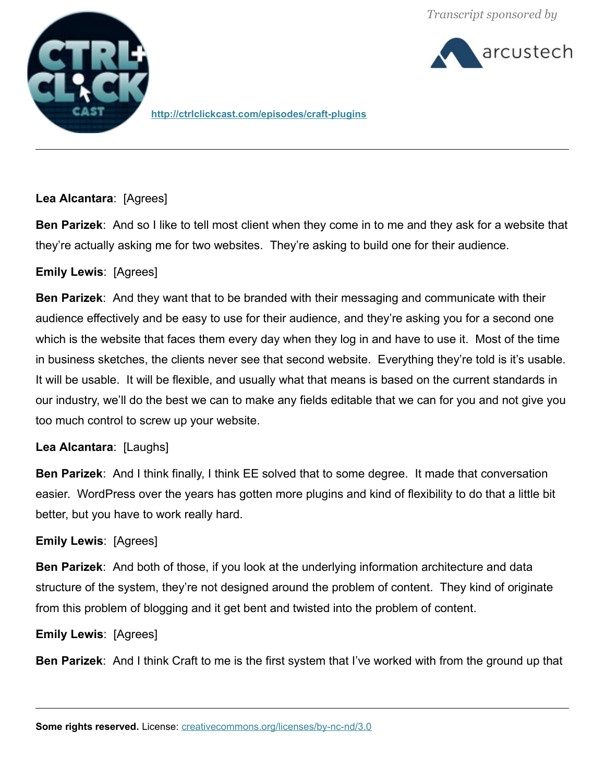



**http://ctrlclickcast.com/episodes/craft-plugins**

### **Lea Alcantara**: [Agrees]

**Ben Parizek**: And so I like to tell most client when they come in to me and they ask for a website that they're actually asking me for two websites. They're asking to build one for their audience.

# **Emily Lewis**: [Agrees]

**Ben Parizek**: And they want that to be branded with their messaging and communicate with their audience effectively and be easy to use for their audience, and they're asking you for a second one which is the website that faces them every day when they log in and have to use it. Most of the time in business sketches, the clients never see that second website. Everything they're told is it's usable. It will be usable. It will be flexible, and usually what that means is based on the current standards in our industry, we'll do the best we can to make any fields editable that we can for you and not give you too much control to screw up your website.

### **Lea Alcantara**: [Laughs]

**Ben Parizek**: And I think finally, I think EE solved that to some degree. It made that conversation easier. WordPress over the years has gotten more plugins and kind of flexibility to do that a little bit better, but you have to work really hard.

### **Emily Lewis**: [Agrees]

**Ben Parizek**: And both of those, if you look at the underlying information architecture and data structure of the system, they're not designed around the problem of content. They kind of originate from this problem of blogging and it get bent and twisted into the problem of content.

### **Emily Lewis**: [Agrees]

**Ben Parizek**: And I think Craft to me is the first system that I've worked with from the ground up that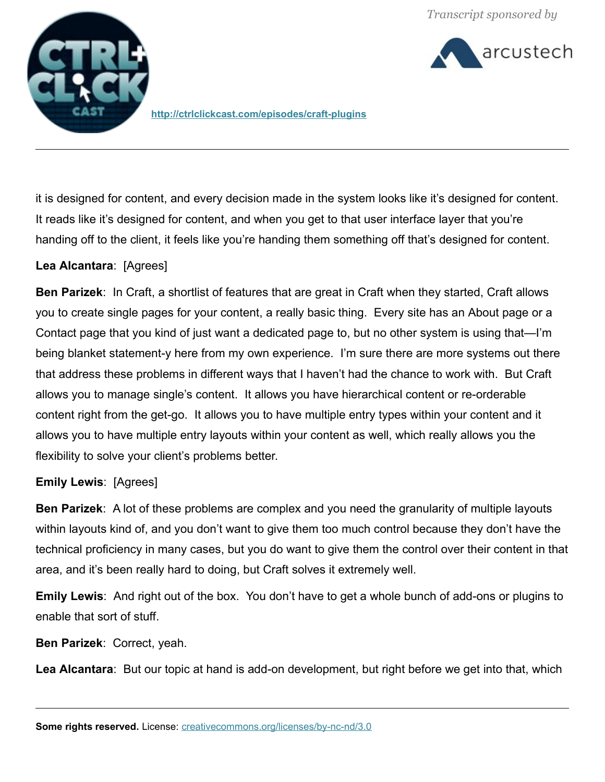



**<http://ctrlclickcast.com/episodes/craft-plugins>**

it is designed for content, and every decision made in the system looks like it's designed for content. It reads like it's designed for content, and when you get to that user interface layer that you're handing off to the client, it feels like you're handing them something off that's designed for content.

# **Lea Alcantara**: [Agrees]

**Ben Parizek**: In Craft, a shortlist of features that are great in Craft when they started, Craft allows you to create single pages for your content, a really basic thing. Every site has an About page or a Contact page that you kind of just want a dedicated page to, but no other system is using that—I'm being blanket statement-y here from my own experience. I'm sure there are more systems out there that address these problems in different ways that I haven't had the chance to work with. But Craft allows you to manage single's content. It allows you have hierarchical content or re-orderable content right from the get-go. It allows you to have multiple entry types within your content and it allows you to have multiple entry layouts within your content as well, which really allows you the flexibility to solve your client's problems better.

### **Emily Lewis**: [Agrees]

**Ben Parizek**: A lot of these problems are complex and you need the granularity of multiple layouts within layouts kind of, and you don't want to give them too much control because they don't have the technical proficiency in many cases, but you do want to give them the control over their content in that area, and it's been really hard to doing, but Craft solves it extremely well.

**Emily Lewis**: And right out of the box. You don't have to get a whole bunch of add-ons or plugins to enable that sort of stuff.

**Ben Parizek**: Correct, yeah.

**Lea Alcantara**: But our topic at hand is add-on development, but right before we get into that, which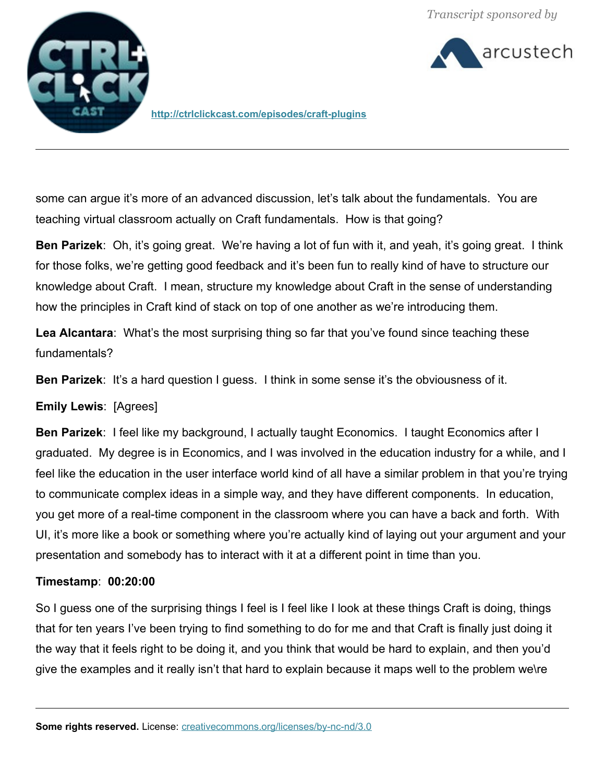arcustech



**http://ctrlclickcast.com/episodes/craft-plugins**

some can argue it's more of an advanced discussion, let's talk about the fundamentals. You are teaching virtual classroom actually on Craft fundamentals. How is that going?

**Ben Parizek**: Oh, it's going great. We're having a lot of fun with it, and yeah, it's going great. I think for those folks, we're getting good feedback and it's been fun to really kind of have to structure our knowledge about Craft. I mean, structure my knowledge about Craft in the sense of understanding how the principles in Craft kind of stack on top of one another as we're introducing them.

Lea Alcantara: What's the most surprising thing so far that you've found since teaching these fundamentals?

**Ben Parizek:** It's a hard question I guess. I think in some sense it's the obviousness of it.

# **Emily Lewis**: [Agrees]

**Ben Parizek**: I feel like my background, I actually taught Economics. I taught Economics after I graduated. My degree is in Economics, and I was involved in the education industry for a while, and I feel like the education in the user interface world kind of all have a similar problem in that you're trying to communicate complex ideas in a simple way, and they have different components. In education, you get more of a real-time component in the classroom where you can have a back and forth. With UI, it's more like a book or something where you're actually kind of laying out your argument and your presentation and somebody has to interact with it at a different point in time than you.

### **Timestamp**: **00:20:00**

So I guess one of the surprising things I feel is I feel like I look at these things Craft is doing, things that for ten years I've been trying to find something to do for me and that Craft is finally just doing it the way that it feels right to be doing it, and you think that would be hard to explain, and then you'd give the examples and it really isn't that hard to explain because it maps well to the problem we\re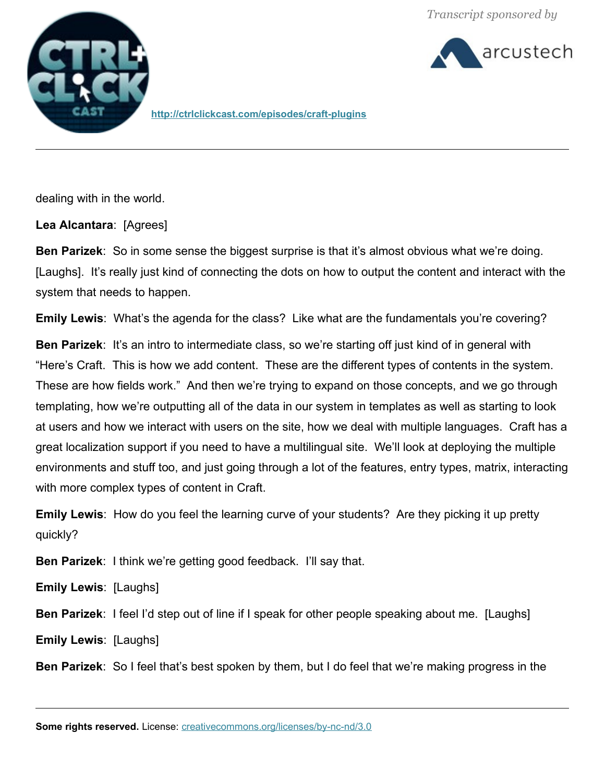



**<http://ctrlclickcast.com/episodes/craft-plugins>**

dealing with in the world.

**Lea Alcantara**: [Agrees]

**Ben Parizek**: So in some sense the biggest surprise is that it's almost obvious what we're doing. [Laughs]. It's really just kind of connecting the dots on how to output the content and interact with the system that needs to happen.

**Emily Lewis**: What's the agenda for the class? Like what are the fundamentals you're covering?

**Ben Parizek:** It's an intro to intermediate class, so we're starting off just kind of in general with "Here's Craft. This is how we add content. These are the different types of contents in the system. These are how fields work." And then we're trying to expand on those concepts, and we go through templating, how we're outputting all of the data in our system in templates as well as starting to look at users and how we interact with users on the site, how we deal with multiple languages. Craft has a great localization support if you need to have a multilingual site. We'll look at deploying the multiple environments and stuff too, and just going through a lot of the features, entry types, matrix, interacting with more complex types of content in Craft.

**Emily Lewis**: How do you feel the learning curve of your students? Are they picking it up pretty quickly?

**Ben Parizek**: I think we're getting good feedback. I'll say that.

**Emily Lewis**: [Laughs]

**Ben Parizek**: I feel I'd step out of line if I speak for other people speaking about me. [Laughs]

**Emily Lewis**: [Laughs]

**Ben Parizek**: So I feel that's best spoken by them, but I do feel that we're making progress in the

**Some rights reserved.** License: *creativecommons.org/licenses/by-nc-nd/3.0*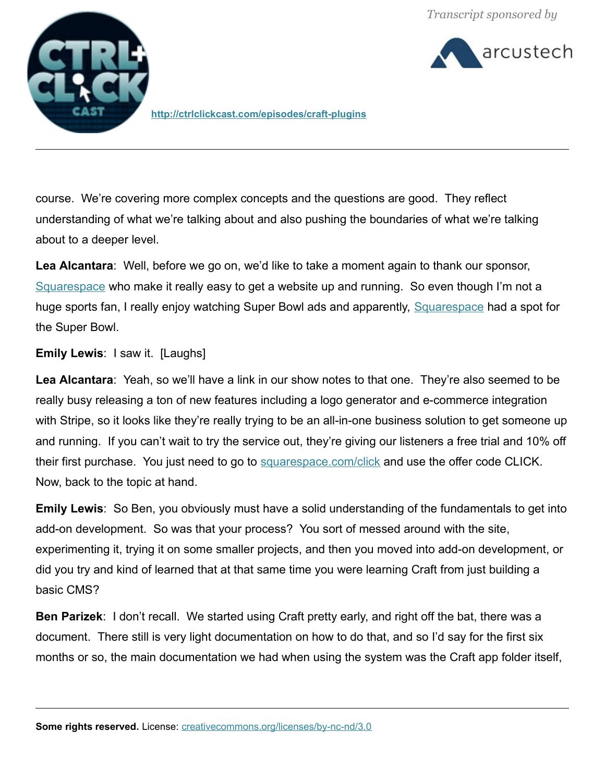arcustech



**<http://ctrlclickcast.com/episodes/craft-plugins>**

course. We're covering more complex concepts and the questions are good. They reflect understanding of what we're talking about and also pushing the boundaries of what we're talking about to a deeper level.

**Lea Alcantara**: Well, before we go on, we'd like to take a moment again to thank our sponsor, [Squarespace](http://www.squarespace.com/click) who make it really easy to get a website up and running. So even though I'm not a huge sports fan, I really enjoy watching Super Bowl ads and apparently, [Squarespace](http://www.squarespace.com/click) had a spot for the Super Bowl.

#### **Emily Lewis**: I saw it. [Laughs]

**Lea Alcantara**: Yeah, so we'll have a link in our show notes to that one. They're also seemed to be really busy releasing a ton of new features including a logo generator and e-commerce integration with Stripe, so it looks like they're really trying to be an all-in-one business solution to get someone up and running. If you can't wait to try the service out, they're giving our listeners a free trial and 10% off their first purchase. You just need to go to [squarespace.com/click](http://www.squarespace.com/click) and use the offer code CLICK. Now, back to the topic at hand.

**Emily Lewis**: So Ben, you obviously must have a solid understanding of the fundamentals to get into add-on development. So was that your process? You sort of messed around with the site, experimenting it, trying it on some smaller projects, and then you moved into add-on development, or did you try and kind of learned that at that same time you were learning Craft from just building a basic CMS?

**Ben Parizek**: I don't recall. We started using Craft pretty early, and right off the bat, there was a document. There still is very light documentation on how to do that, and so I'd say for the first six months or so, the main documentation we had when using the system was the Craft app folder itself,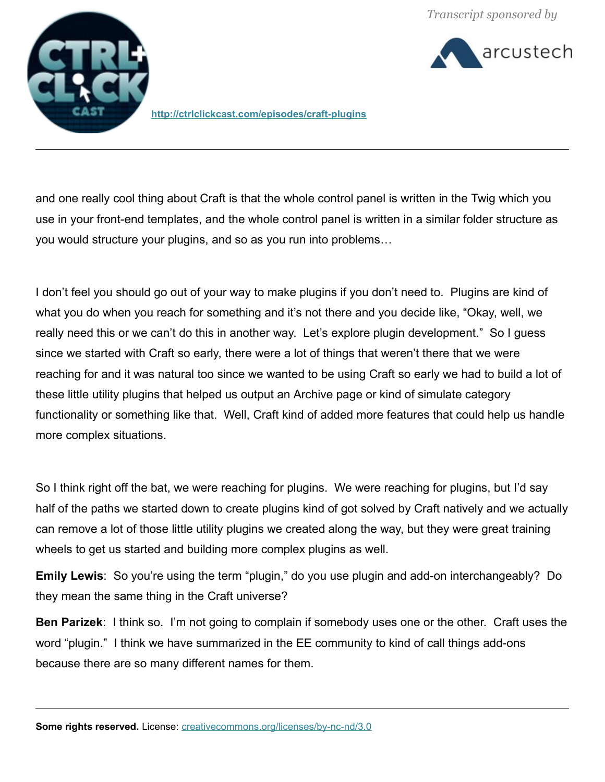



**<http://ctrlclickcast.com/episodes/craft-plugins>**

and one really cool thing about Craft is that the whole control panel is written in the Twig which you use in your front-end templates, and the whole control panel is written in a similar folder structure as you would structure your plugins, and so as you run into problems…

I don't feel you should go out of your way to make plugins if you don't need to. Plugins are kind of what you do when you reach for something and it's not there and you decide like, "Okay, well, we really need this or we can't do this in another way. Let's explore plugin development." So I guess since we started with Craft so early, there were a lot of things that weren't there that we were reaching for and it was natural too since we wanted to be using Craft so early we had to build a lot of these little utility plugins that helped us output an Archive page or kind of simulate category functionality or something like that. Well, Craft kind of added more features that could help us handle more complex situations.

So I think right off the bat, we were reaching for plugins. We were reaching for plugins, but I'd say half of the paths we started down to create plugins kind of got solved by Craft natively and we actually can remove a lot of those little utility plugins we created along the way, but they were great training wheels to get us started and building more complex plugins as well.

**Emily Lewis**: So you're using the term "plugin," do you use plugin and add-on interchangeably? Do they mean the same thing in the Craft universe?

**Ben Parizek**: I think so. I'm not going to complain if somebody uses one or the other. Craft uses the word "plugin." I think we have summarized in the EE community to kind of call things add-ons because there are so many different names for them.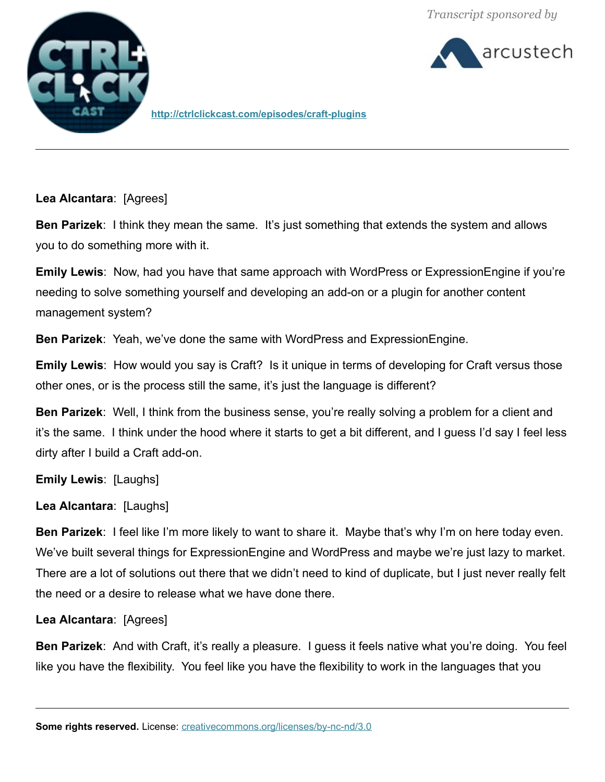



**http://ctrlclickcast.com/episodes/craft-plugins**

**Lea Alcantara**: [Agrees]

**Ben Parizek**: I think they mean the same. It's just something that extends the system and allows you to do something more with it.

**Emily Lewis**: Now, had you have that same approach with WordPress or ExpressionEngine if you're needing to solve something yourself and developing an add-on or a plugin for another content management system?

**Ben Parizek**: Yeah, we've done the same with WordPress and ExpressionEngine.

**Emily Lewis**: How would you say is Craft? Is it unique in terms of developing for Craft versus those other ones, or is the process still the same, it's just the language is different?

**Ben Parizek**: Well, I think from the business sense, you're really solving a problem for a client and it's the same. I think under the hood where it starts to get a bit different, and I guess I'd say I feel less dirty after I build a Craft add-on.

**Emily Lewis**: [Laughs]

**Lea Alcantara**: [Laughs]

**Ben Parizek**: I feel like I'm more likely to want to share it. Maybe that's why I'm on here today even. We've built several things for ExpressionEngine and WordPress and maybe we're just lazy to market. There are a lot of solutions out there that we didn't need to kind of duplicate, but I just never really felt the need or a desire to release what we have done there.

**Lea Alcantara**: [Agrees]

**Ben Parizek**: And with Craft, it's really a pleasure. I guess it feels native what you're doing. You feel like you have the flexibility. You feel like you have the flexibility to work in the languages that you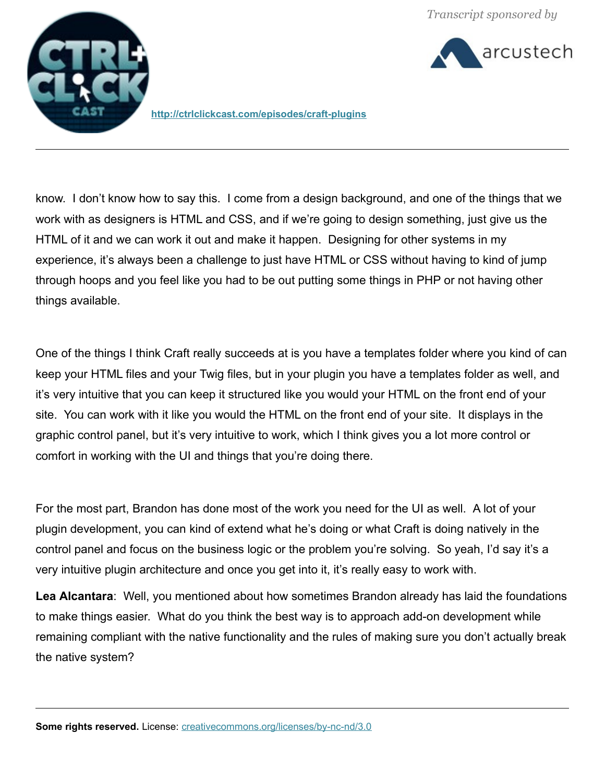

arcustech

**<http://ctrlclickcast.com/episodes/craft-plugins>**

know. I don't know how to say this. I come from a design background, and one of the things that we work with as designers is HTML and CSS, and if we're going to design something, just give us the HTML of it and we can work it out and make it happen. Designing for other systems in my experience, it's always been a challenge to just have HTML or CSS without having to kind of jump through hoops and you feel like you had to be out putting some things in PHP or not having other things available.

One of the things I think Craft really succeeds at is you have a templates folder where you kind of can keep your HTML files and your Twig files, but in your plugin you have a templates folder as well, and it's very intuitive that you can keep it structured like you would your HTML on the front end of your site. You can work with it like you would the HTML on the front end of your site. It displays in the graphic control panel, but it's very intuitive to work, which I think gives you a lot more control or comfort in working with the UI and things that you're doing there.

For the most part, Brandon has done most of the work you need for the UI as well. A lot of your plugin development, you can kind of extend what he's doing or what Craft is doing natively in the control panel and focus on the business logic or the problem you're solving. So yeah, I'd say it's a very intuitive plugin architecture and once you get into it, it's really easy to work with.

**Lea Alcantara**: Well, you mentioned about how sometimes Brandon already has laid the foundations to make things easier. What do you think the best way is to approach add-on development while remaining compliant with the native functionality and the rules of making sure you don't actually break the native system?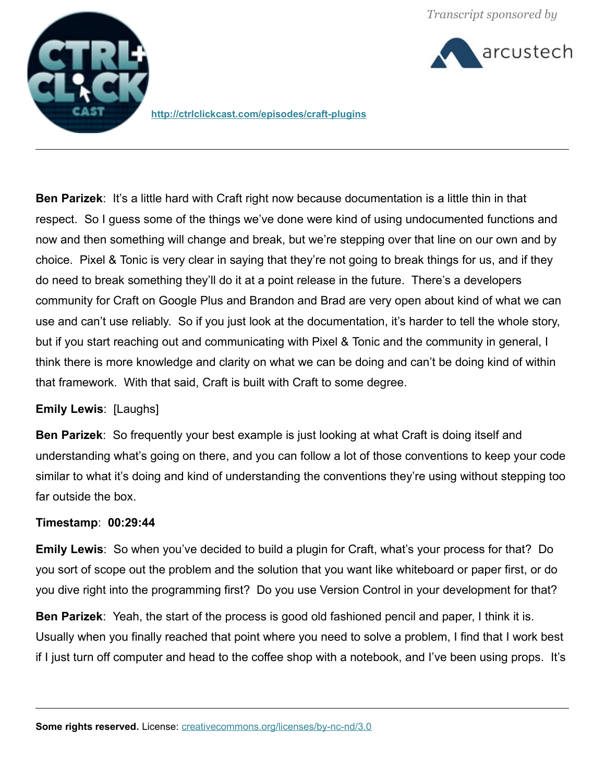



**http://ctrlclickcast.com/episodes/craft-plugins**

**Ben Parizek**: It's a little hard with Craft right now because documentation is a little thin in that respect. So I guess some of the things we've done were kind of using undocumented functions and now and then something will change and break, but we're stepping over that line on our own and by choice. Pixel & Tonic is very clear in saying that they're not going to break things for us, and if they do need to break something they'll do it at a point release in the future. There's a developers community for Craft on Google Plus and Brandon and Brad are very open about kind of what we can use and can't use reliably. So if you just look at the documentation, it's harder to tell the whole story, but if you start reaching out and communicating with Pixel & Tonic and the community in general, I think there is more knowledge and clarity on what we can be doing and can't be doing kind of within that framework. With that said, Craft is built with Craft to some degree.

### **Emily Lewis**: [Laughs]

**Ben Parizek**: So frequently your best example is just looking at what Craft is doing itself and understanding what's going on there, and you can follow a lot of those conventions to keep your code similar to what it's doing and kind of understanding the conventions they're using without stepping too far outside the box.

### **Timestamp**: **00:29:44**

**Emily Lewis**: So when you've decided to build a plugin for Craft, what's your process for that? Do you sort of scope out the problem and the solution that you want like whiteboard or paper first, or do you dive right into the programming first? Do you use Version Control in your development for that?

**Ben Parizek**: Yeah, the start of the process is good old fashioned pencil and paper, I think it is. Usually when you finally reached that point where you need to solve a problem, I find that I work best if I just turn off computer and head to the coffee shop with a notebook, and I've been using props. It's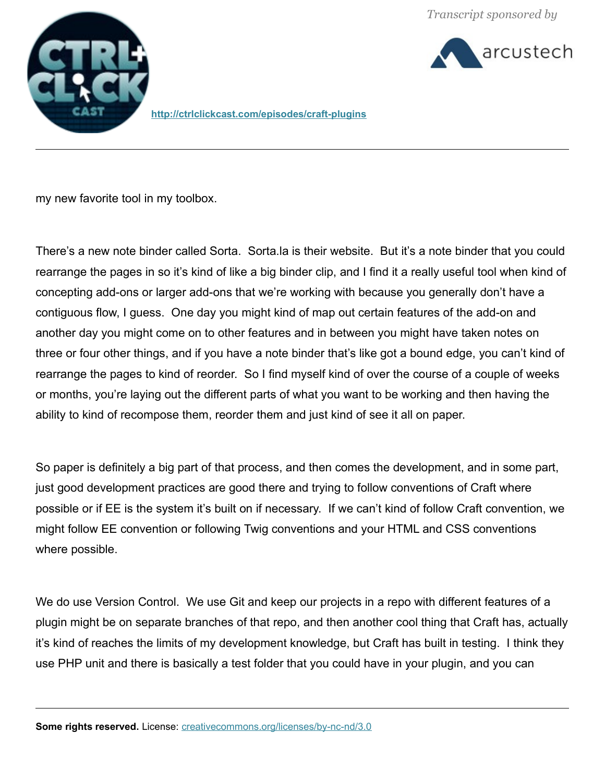



**<http://ctrlclickcast.com/episodes/craft-plugins>**

my new favorite tool in my toolbox.

There's a new note binder called Sorta. Sorta.la is their website. But it's a note binder that you could rearrange the pages in so it's kind of like a big binder clip, and I find it a really useful tool when kind of concepting add-ons or larger add-ons that we're working with because you generally don't have a contiguous flow, I guess. One day you might kind of map out certain features of the add-on and another day you might come on to other features and in between you might have taken notes on three or four other things, and if you have a note binder that's like got a bound edge, you can't kind of rearrange the pages to kind of reorder. So I find myself kind of over the course of a couple of weeks or months, you're laying out the different parts of what you want to be working and then having the ability to kind of recompose them, reorder them and just kind of see it all on paper.

So paper is definitely a big part of that process, and then comes the development, and in some part, just good development practices are good there and trying to follow conventions of Craft where possible or if EE is the system it's built on if necessary. If we can't kind of follow Craft convention, we might follow EE convention or following Twig conventions and your HTML and CSS conventions where possible.

We do use Version Control. We use Git and keep our projects in a repo with different features of a plugin might be on separate branches of that repo, and then another cool thing that Craft has, actually it's kind of reaches the limits of my development knowledge, but Craft has built in testing. I think they use PHP unit and there is basically a test folder that you could have in your plugin, and you can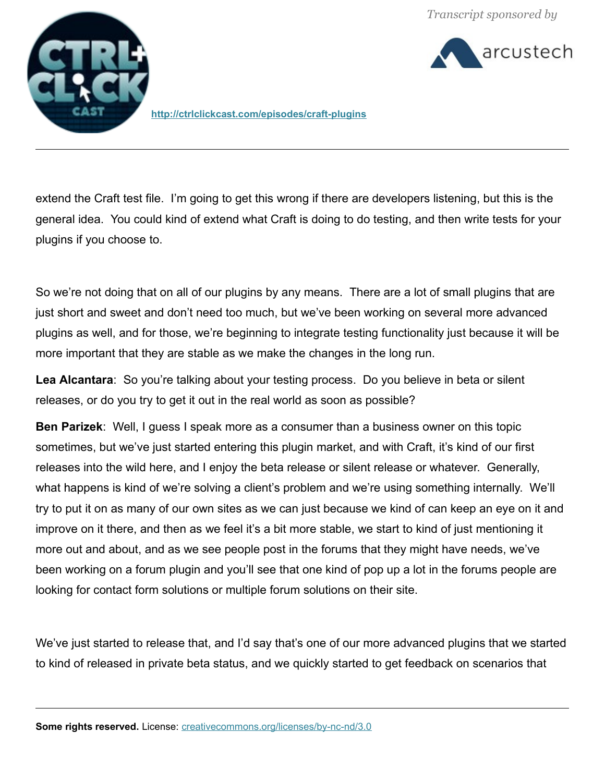arcustech



**http://ctrlclickcast.com/episodes/craft-plugins**

extend the Craft test file. I'm going to get this wrong if there are developers listening, but this is the general idea. You could kind of extend what Craft is doing to do testing, and then write tests for your plugins if you choose to.

So we're not doing that on all of our plugins by any means. There are a lot of small plugins that are just short and sweet and don't need too much, but we've been working on several more advanced plugins as well, and for those, we're beginning to integrate testing functionality just because it will be more important that they are stable as we make the changes in the long run.

**Lea Alcantara**: So you're talking about your testing process. Do you believe in beta or silent releases, or do you try to get it out in the real world as soon as possible?

**Ben Parizek**: Well, I guess I speak more as a consumer than a business owner on this topic sometimes, but we've just started entering this plugin market, and with Craft, it's kind of our first releases into the wild here, and I enjoy the beta release or silent release or whatever. Generally, what happens is kind of we're solving a client's problem and we're using something internally. We'll try to put it on as many of our own sites as we can just because we kind of can keep an eye on it and improve on it there, and then as we feel it's a bit more stable, we start to kind of just mentioning it more out and about, and as we see people post in the forums that they might have needs, we've been working on a forum plugin and you'll see that one kind of pop up a lot in the forums people are looking for contact form solutions or multiple forum solutions on their site.

We've just started to release that, and I'd say that's one of our more advanced plugins that we started to kind of released in private beta status, and we quickly started to get feedback on scenarios that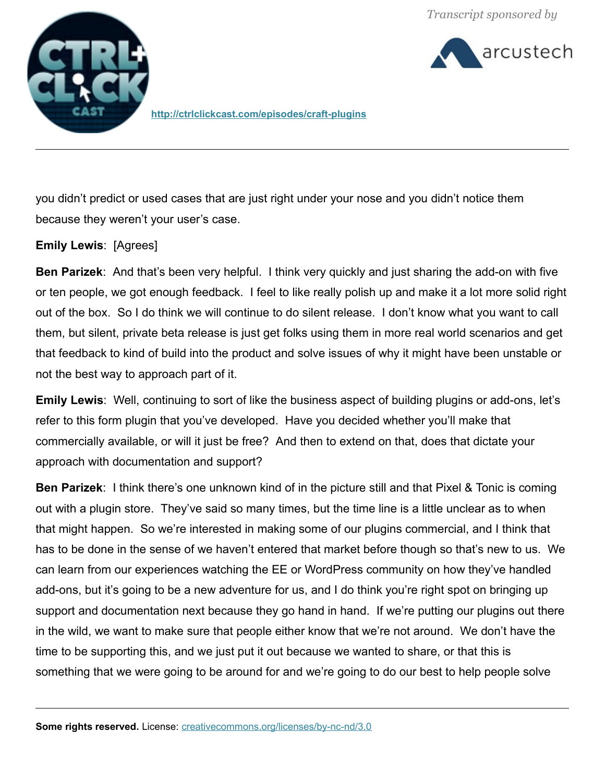arcustech



**<http://ctrlclickcast.com/episodes/craft-plugins>**

you didn't predict or used cases that are just right under your nose and you didn't notice them because they weren't your user's case.

#### **Emily Lewis**: [Agrees]

**Ben Parizek**: And that's been very helpful. I think very quickly and just sharing the add-on with five or ten people, we got enough feedback. I feel to like really polish up and make it a lot more solid right out of the box. So I do think we will continue to do silent release. I don't know what you want to call them, but silent, private beta release is just get folks using them in more real world scenarios and get that feedback to kind of build into the product and solve issues of why it might have been unstable or not the best way to approach part of it.

**Emily Lewis**: Well, continuing to sort of like the business aspect of building plugins or add-ons, let's refer to this form plugin that you've developed. Have you decided whether you'll make that commercially available, or will it just be free? And then to extend on that, does that dictate your approach with documentation and support?

**Ben Parizek**: I think there's one unknown kind of in the picture still and that Pixel & Tonic is coming out with a plugin store. They've said so many times, but the time line is a little unclear as to when that might happen. So we're interested in making some of our plugins commercial, and I think that has to be done in the sense of we haven't entered that market before though so that's new to us. We can learn from our experiences watching the EE or WordPress community on how they've handled add-ons, but it's going to be a new adventure for us, and I do think you're right spot on bringing up support and documentation next because they go hand in hand. If we're putting our plugins out there in the wild, we want to make sure that people either know that we're not around. We don't have the time to be supporting this, and we just put it out because we wanted to share, or that this is something that we were going to be around for and we're going to do our best to help people solve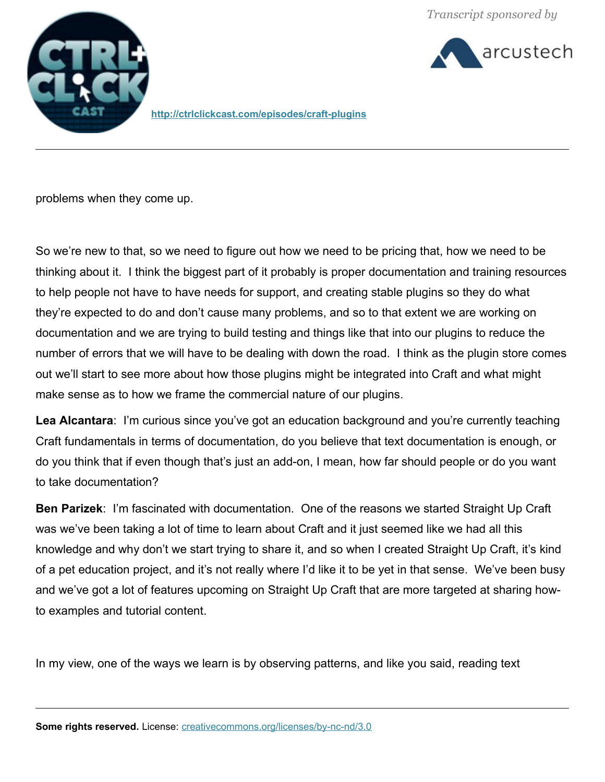arcustech



**http://ctrlclickcast.com/episodes/craft-plugins**

problems when they come up.

So we're new to that, so we need to figure out how we need to be pricing that, how we need to be thinking about it. I think the biggest part of it probably is proper documentation and training resources to help people not have to have needs for support, and creating stable plugins so they do what they're expected to do and don't cause many problems, and so to that extent we are working on documentation and we are trying to build testing and things like that into our plugins to reduce the number of errors that we will have to be dealing with down the road. I think as the plugin store comes out we'll start to see more about how those plugins might be integrated into Craft and what might make sense as to how we frame the commercial nature of our plugins.

**Lea Alcantara**: I'm curious since you've got an education background and you're currently teaching Craft fundamentals in terms of documentation, do you believe that text documentation is enough, or do you think that if even though that's just an add-on, I mean, how far should people or do you want to take documentation?

**Ben Parizek**: I'm fascinated with documentation. One of the reasons we started Straight Up Craft was we've been taking a lot of time to learn about Craft and it just seemed like we had all this knowledge and why don't we start trying to share it, and so when I created Straight Up Craft, it's kind of a pet education project, and it's not really where I'd like it to be yet in that sense. We've been busy and we've got a lot of features upcoming on Straight Up Craft that are more targeted at sharing howto examples and tutorial content.

In my view, one of the ways we learn is by observing patterns, and like you said, reading text

**Some rights reserved.** License: *creativecommons.org/licenses/by-nc-nd/3.0*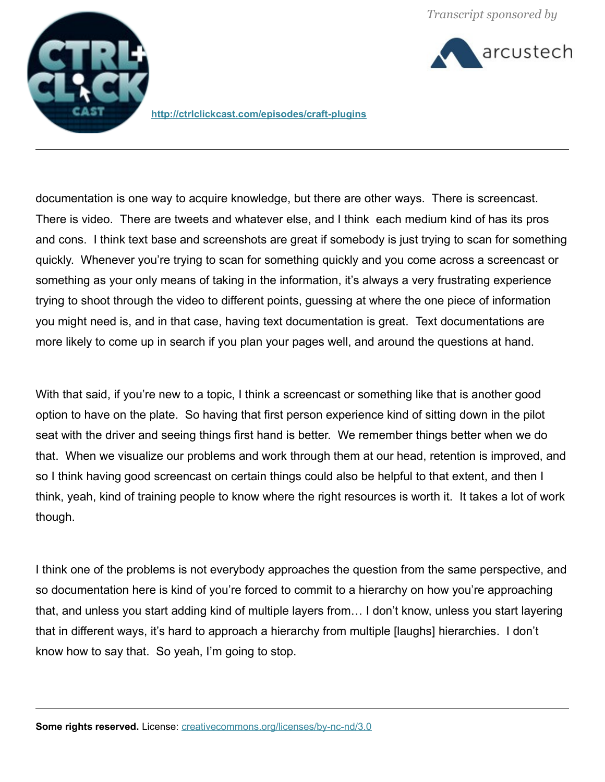



**<http://ctrlclickcast.com/episodes/craft-plugins>**

documentation is one way to acquire knowledge, but there are other ways. There is screencast. There is video. There are tweets and whatever else, and I think each medium kind of has its pros and cons. I think text base and screenshots are great if somebody is just trying to scan for something quickly. Whenever you're trying to scan for something quickly and you come across a screencast or something as your only means of taking in the information, it's always a very frustrating experience trying to shoot through the video to different points, guessing at where the one piece of information you might need is, and in that case, having text documentation is great. Text documentations are more likely to come up in search if you plan your pages well, and around the questions at hand.

With that said, if you're new to a topic, I think a screencast or something like that is another good option to have on the plate. So having that first person experience kind of sitting down in the pilot seat with the driver and seeing things first hand is better. We remember things better when we do that. When we visualize our problems and work through them at our head, retention is improved, and so I think having good screencast on certain things could also be helpful to that extent, and then I think, yeah, kind of training people to know where the right resources is worth it. It takes a lot of work though.

I think one of the problems is not everybody approaches the question from the same perspective, and so documentation here is kind of you're forced to commit to a hierarchy on how you're approaching that, and unless you start adding kind of multiple layers from… I don't know, unless you start layering that in different ways, it's hard to approach a hierarchy from multiple [laughs] hierarchies. I don't know how to say that. So yeah, I'm going to stop.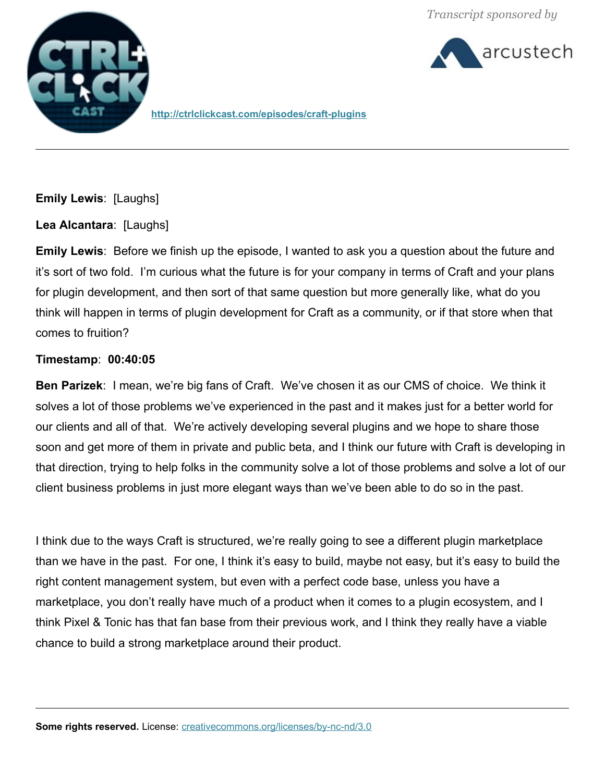



**http://ctrlclickcast.com/episodes/craft-plugins**

**Emily Lewis**: [Laughs]

**Lea Alcantara**: [Laughs]

**Emily Lewis**: Before we finish up the episode, I wanted to ask you a question about the future and it's sort of two fold. I'm curious what the future is for your company in terms of Craft and your plans for plugin development, and then sort of that same question but more generally like, what do you think will happen in terms of plugin development for Craft as a community, or if that store when that comes to fruition?

# **Timestamp**: **00:40:05**

**Ben Parizek**: I mean, we're big fans of Craft. We've chosen it as our CMS of choice. We think it solves a lot of those problems we've experienced in the past and it makes just for a better world for our clients and all of that. We're actively developing several plugins and we hope to share those soon and get more of them in private and public beta, and I think our future with Craft is developing in that direction, trying to help folks in the community solve a lot of those problems and solve a lot of our client business problems in just more elegant ways than we've been able to do so in the past.

I think due to the ways Craft is structured, we're really going to see a different plugin marketplace than we have in the past. For one, I think it's easy to build, maybe not easy, but it's easy to build the right content management system, but even with a perfect code base, unless you have a marketplace, you don't really have much of a product when it comes to a plugin ecosystem, and I think Pixel & Tonic has that fan base from their previous work, and I think they really have a viable chance to build a strong marketplace around their product.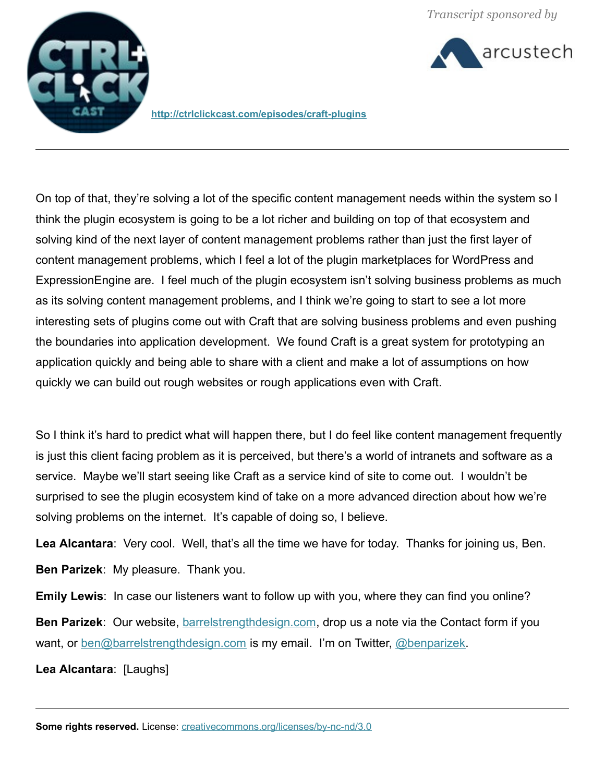



**<http://ctrlclickcast.com/episodes/craft-plugins>**

On top of that, they're solving a lot of the specific content management needs within the system so I think the plugin ecosystem is going to be a lot richer and building on top of that ecosystem and solving kind of the next layer of content management problems rather than just the first layer of content management problems, which I feel a lot of the plugin marketplaces for WordPress and ExpressionEngine are. I feel much of the plugin ecosystem isn't solving business problems as much as its solving content management problems, and I think we're going to start to see a lot more interesting sets of plugins come out with Craft that are solving business problems and even pushing the boundaries into application development. We found Craft is a great system for prototyping an application quickly and being able to share with a client and make a lot of assumptions on how quickly we can build out rough websites or rough applications even with Craft.

So I think it's hard to predict what will happen there, but I do feel like content management frequently is just this client facing problem as it is perceived, but there's a world of intranets and software as a service. Maybe we'll start seeing like Craft as a service kind of site to come out. I wouldn't be surprised to see the plugin ecosystem kind of take on a more advanced direction about how we're solving problems on the internet. It's capable of doing so, I believe.

**Lea Alcantara**: Very cool. Well, that's all the time we have for today. Thanks for joining us, Ben. **Ben Parizek**: My pleasure. Thank you.

**Emily Lewis**: In case our listeners want to follow up with you, where they can find you online?

**Ben Parizek**: Our website, [barrelstrengthdesign.com,](http://barrelstrengthdesign.com/) drop us a note via the Contact form if you want, or [ben@barrelstrengthdesign.com](mailto:ben@barrelstrengthdesign.com) is my email. I'm on Twitter, [@benparizek.](http://twitter.com/benparizek)

**Lea Alcantara**: [Laughs]

**Some rights reserved.** License: *creativecommons.org/licenses/by-nc-nd/3.0*